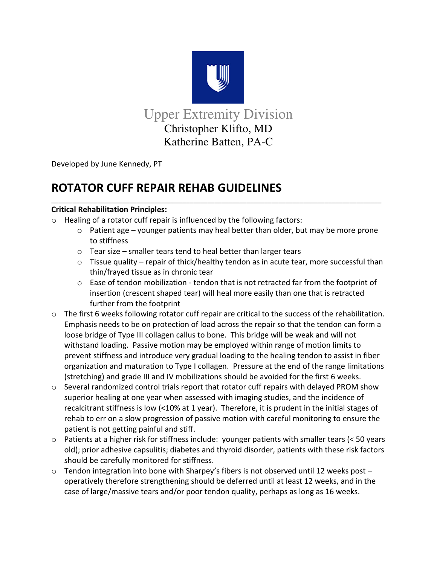

Upper Extremity Division Christopher Klifto, MD Katherine Batten, PA-C

 $\mathcal{L}_\mathcal{A}$  , and the set of the set of the set of the set of the set of the set of the set of the set of the set of the set of the set of the set of the set of the set of the set of the set of the set of the set of th

Developed by June Kennedy, PT

# **ROTATOR CUFF REPAIR REHAB GUIDELINES**

# **Critical Rehabilitation Principles:**

- o Healing of a rotator cuff repair is influenced by the following factors:
	- $\circ$  Patient age younger patients may heal better than older, but may be more prone to stiffness
	- o Tear size smaller tears tend to heal better than larger tears
	- $\circ$  Tissue quality repair of thick/healthy tendon as in acute tear, more successful than thin/frayed tissue as in chronic tear
	- o Ease of tendon mobilization tendon that is not retracted far from the footprint of insertion (crescent shaped tear) will heal more easily than one that is retracted further from the footprint
- o The first 6 weeks following rotator cuff repair are critical to the success of the rehabilitation. Emphasis needs to be on protection of load across the repair so that the tendon can form a loose bridge of Type III collagen callus to bone. This bridge will be weak and will not withstand loading. Passive motion may be employed within range of motion limits to prevent stiffness and introduce very gradual loading to the healing tendon to assist in fiber organization and maturation to Type I collagen. Pressure at the end of the range limitations (stretching) and grade III and IV mobilizations should be avoided for the first 6 weeks.
- $\circ$  Several randomized control trials report that rotator cuff repairs with delayed PROM show superior healing at one year when assessed with imaging studies, and the incidence of recalcitrant stiffness is low (<10% at 1 year). Therefore, it is prudent in the initial stages of rehab to err on a slow progression of passive motion with careful monitoring to ensure the patient is not getting painful and stiff.
- o Patients at a higher risk for stiffness include: younger patients with smaller tears (< 50 years old); prior adhesive capsulitis; diabetes and thyroid disorder, patients with these risk factors should be carefully monitored for stiffness.
- o Tendon integration into bone with Sharpey's fibers is not observed until 12 weeks post operatively therefore strengthening should be deferred until at least 12 weeks, and in the case of large/massive tears and/or poor tendon quality, perhaps as long as 16 weeks.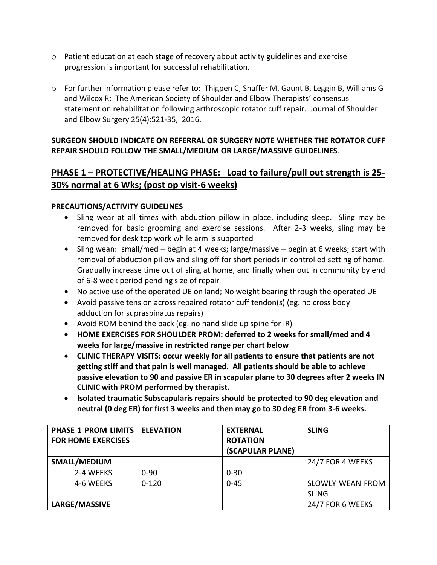- $\circ$  Patient education at each stage of recovery about activity guidelines and exercise progression is important for successful rehabilitation.
- o For further information please refer to: Thigpen C, Shaffer M, Gaunt B, Leggin B, Williams G and Wilcox R: The American Society of Shoulder and Elbow Therapists' consensus statement on rehabilitation following arthroscopic rotator cuff repair. Journal of Shoulder and Elbow Surgery 25(4):521-35, 2016.

### **SURGEON SHOULD INDICATE ON REFERRAL OR SURGERY NOTE WHETHER THE ROTATOR CUFF REPAIR SHOULD FOLLOW THE SMALL/MEDIUM OR LARGE/MASSIVE GUIDELINES**.

# **PHASE 1 – PROTECTIVE/HEALING PHASE: Load to failure/pull out strength is 25- 30% normal at 6 Wks; (post op visit-6 weeks)**

### **PRECAUTIONS/ACTIVITY GUIDELINES**

- Sling wear at all times with abduction pillow in place, including sleep. Sling may be removed for basic grooming and exercise sessions. After 2-3 weeks, sling may be removed for desk top work while arm is supported
- Sling wean: small/med begin at 4 weeks; large/massive begin at 6 weeks; start with removal of abduction pillow and sling off for short periods in controlled setting of home. Gradually increase time out of sling at home, and finally when out in community by end of 6-8 week period pending size of repair
- No active use of the operated UE on land; No weight bearing through the operated UE
- Avoid passive tension across repaired rotator cuff tendon(s) (eg. no cross body adduction for supraspinatus repairs)
- Avoid ROM behind the back (eg. no hand slide up spine for IR)
- **HOME EXERCISES FOR SHOULDER PROM: deferred to 2 weeks for small/med and 4 weeks for large/massive in restricted range per chart below**
- **CLINIC THERAPY VISITS: occur weekly for all patients to ensure that patients are not getting stiff and that pain is well managed. All patients should be able to achieve passive elevation to 90 and passive ER in scapular plane to 30 degrees after 2 weeks IN CLINIC with PROM performed by therapist.**
- **Isolated traumatic Subscapularis repairs should be protected to 90 deg elevation and neutral (0 deg ER) for first 3 weeks and then may go to 30 deg ER from 3-6 weeks.**

| <b>PHASE 1 PROM LIMITS  </b> | <b>ELEVATION</b> | <b>EXTERNAL</b>  | <b>SLING</b>            |
|------------------------------|------------------|------------------|-------------------------|
| <b>FOR HOME EXERCISES</b>    |                  | <b>ROTATION</b>  |                         |
|                              |                  | (SCAPULAR PLANE) |                         |
| SMALL/MEDIUM                 |                  |                  | 24/7 FOR 4 WEEKS        |
| 2-4 WEEKS                    | $0 - 90$         | $0 - 30$         |                         |
| 4-6 WEEKS                    | $0 - 120$        | $0 - 45$         | <b>SLOWLY WEAN FROM</b> |
|                              |                  |                  | <b>SLING</b>            |
| LARGE/MASSIVE                |                  |                  | 24/7 FOR 6 WEEKS        |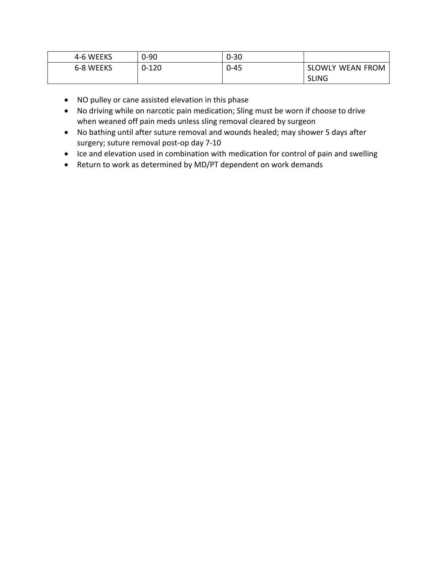| 4-6 WEEKS | $0 - 90$  | $0 - 30$ |                  |
|-----------|-----------|----------|------------------|
| 6-8 WEEKS | $0 - 120$ | $0 - 45$ | SLOWLY WEAN FROM |
|           |           |          | <b>SLING</b>     |

- NO pulley or cane assisted elevation in this phase
- No driving while on narcotic pain medication; Sling must be worn if choose to drive when weaned off pain meds unless sling removal cleared by surgeon
- No bathing until after suture removal and wounds healed; may shower 5 days after surgery; suture removal post-op day 7-10
- Ice and elevation used in combination with medication for control of pain and swelling
- Return to work as determined by MD/PT dependent on work demands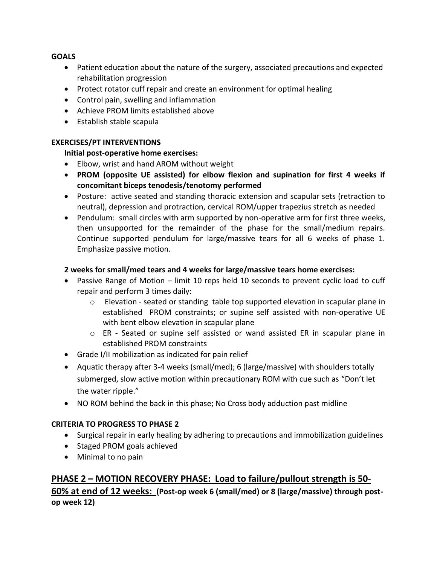### **GOALS**

- Patient education about the nature of the surgery, associated precautions and expected rehabilitation progression
- Protect rotator cuff repair and create an environment for optimal healing
- Control pain, swelling and inflammation
- Achieve PROM limits established above
- Establish stable scapula

### **EXERCISES/PT INTERVENTIONS**

### **Initial post-operative home exercises:**

- Elbow, wrist and hand AROM without weight
- **PROM (opposite UE assisted) for elbow flexion and supination for first 4 weeks if concomitant biceps tenodesis/tenotomy performed**
- Posture: active seated and standing thoracic extension and scapular sets (retraction to neutral), depression and protraction, cervical ROM/upper trapezius stretch as needed
- Pendulum: small circles with arm supported by non-operative arm for first three weeks, then unsupported for the remainder of the phase for the small/medium repairs. Continue supported pendulum for large/massive tears for all 6 weeks of phase 1. Emphasize passive motion.

### **2 weeks for small/med tears and 4 weeks for large/massive tears home exercises:**

- Passive Range of Motion limit 10 reps held 10 seconds to prevent cyclic load to cuff repair and perform 3 times daily:
	- o Elevation seated or standing table top supported elevation in scapular plane in established PROM constraints; or supine self assisted with non-operative UE with bent elbow elevation in scapular plane
	- o ER Seated or supine self assisted or wand assisted ER in scapular plane in established PROM constraints
- Grade I/II mobilization as indicated for pain relief
- Aquatic therapy after 3-4 weeks (small/med); 6 (large/massive) with shoulders totally submerged, slow active motion within precautionary ROM with cue such as "Don't let the water ripple."
- NO ROM behind the back in this phase; No Cross body adduction past midline

### **CRITERIA TO PROGRESS TO PHASE 2**

- Surgical repair in early healing by adhering to precautions and immobilization guidelines
- Staged PROM goals achieved
- Minimal to no pain

# **PHASE 2 – MOTION RECOVERY PHASE: Load to failure/pullout strength is 50- 60% at end of 12 weeks: (Post-op week 6 (small/med) or 8 (large/massive) through postop week 12)**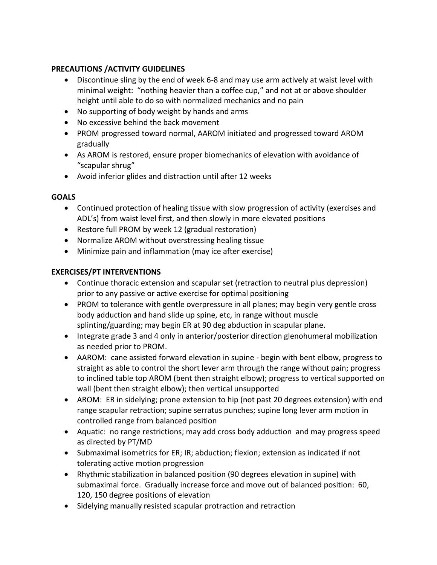## **PRECAUTIONS /ACTIVITY GUIDELINES**

- Discontinue sling by the end of week 6-8 and may use arm actively at waist level with minimal weight: "nothing heavier than a coffee cup," and not at or above shoulder height until able to do so with normalized mechanics and no pain
- No supporting of body weight by hands and arms
- No excessive behind the back movement
- PROM progressed toward normal, AAROM initiated and progressed toward AROM gradually
- As AROM is restored, ensure proper biomechanics of elevation with avoidance of "scapular shrug"
- Avoid inferior glides and distraction until after 12 weeks

## **GOALS**

- Continued protection of healing tissue with slow progression of activity (exercises and ADL's) from waist level first, and then slowly in more elevated positions
- Restore full PROM by week 12 (gradual restoration)
- Normalize AROM without overstressing healing tissue
- Minimize pain and inflammation (may ice after exercise)

# **EXERCISES/PT INTERVENTIONS**

- Continue thoracic extension and scapular set (retraction to neutral plus depression) prior to any passive or active exercise for optimal positioning
- PROM to tolerance with gentle overpressure in all planes; may begin very gentle cross body adduction and hand slide up spine, etc, in range without muscle splinting/guarding; may begin ER at 90 deg abduction in scapular plane.
- Integrate grade 3 and 4 only in anterior/posterior direction glenohumeral mobilization as needed prior to PROM.
- AAROM: cane assisted forward elevation in supine begin with bent elbow, progress to straight as able to control the short lever arm through the range without pain; progress to inclined table top AROM (bent then straight elbow); progress to vertical supported on wall (bent then straight elbow); then vertical unsupported
- AROM: ER in sidelying; prone extension to hip (not past 20 degrees extension) with end range scapular retraction; supine serratus punches; supine long lever arm motion in controlled range from balanced position
- Aquatic: no range restrictions; may add cross body adduction and may progress speed as directed by PT/MD
- Submaximal isometrics for ER; IR; abduction; flexion; extension as indicated if not tolerating active motion progression
- Rhythmic stabilization in balanced position (90 degrees elevation in supine) with submaximal force. Gradually increase force and move out of balanced position: 60, 120, 150 degree positions of elevation
- Sidelying manually resisted scapular protraction and retraction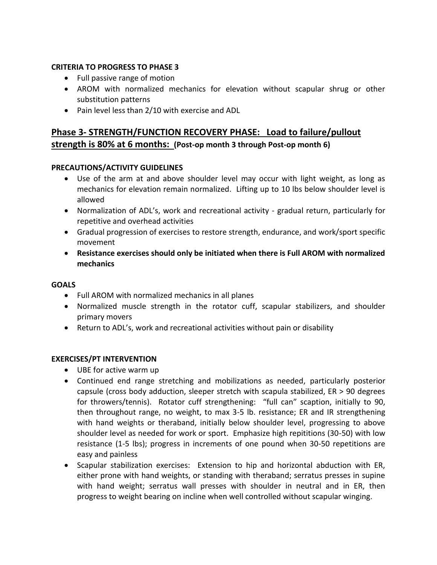### **CRITERIA TO PROGRESS TO PHASE 3**

- Full passive range of motion
- AROM with normalized mechanics for elevation without scapular shrug or other substitution patterns
- Pain level less than 2/10 with exercise and ADL

# **Phase 3- STRENGTH/FUNCTION RECOVERY PHASE: Load to failure/pullout strength is 80% at 6 months: (Post-op month 3 through Post-op month 6)**

### **PRECAUTIONS/ACTIVITY GUIDELINES**

- Use of the arm at and above shoulder level may occur with light weight, as long as mechanics for elevation remain normalized. Lifting up to 10 lbs below shoulder level is allowed
- Normalization of ADL's, work and recreational activity gradual return, particularly for repetitive and overhead activities
- Gradual progression of exercises to restore strength, endurance, and work/sport specific movement
- **Resistance exercises should only be initiated when there is Full AROM with normalized mechanics**

#### **GOALS**

- Full AROM with normalized mechanics in all planes
- Normalized muscle strength in the rotator cuff, scapular stabilizers, and shoulder primary movers
- Return to ADL's, work and recreational activities without pain or disability

#### **EXERCISES/PT INTERVENTION**

- UBE for active warm up
- Continued end range stretching and mobilizations as needed, particularly posterior capsule (cross body adduction, sleeper stretch with scapula stabilized, ER > 90 degrees for throwers/tennis). Rotator cuff strengthening: "full can" scaption, initially to 90, then throughout range, no weight, to max 3-5 lb. resistance; ER and IR strengthening with hand weights or theraband, initially below shoulder level, progressing to above shoulder level as needed for work or sport. Emphasize high repititions (30-50) with low resistance (1-5 lbs); progress in increments of one pound when 30-50 repetitions are easy and painless
- Scapular stabilization exercises: Extension to hip and horizontal abduction with ER, either prone with hand weights, or standing with theraband; serratus presses in supine with hand weight; serratus wall presses with shoulder in neutral and in ER, then progress to weight bearing on incline when well controlled without scapular winging.